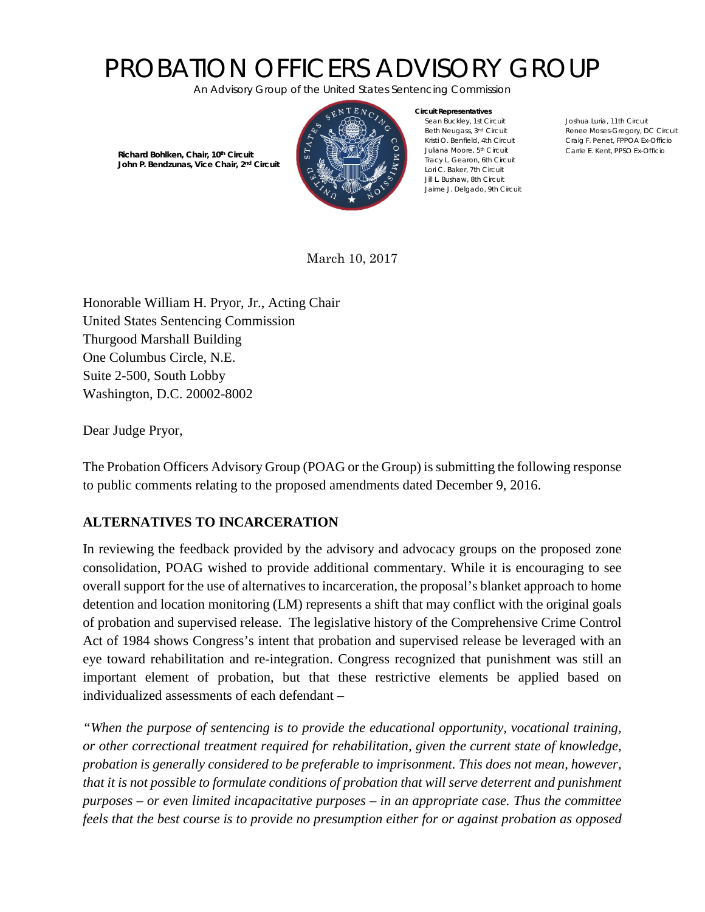## PROBATION OFFICERS ADVISORY GROUP

*An Advisory Group of the United States Sentencing Commission* 



**Circuit Representatives** Sean Buckley, 1st Circuit Beth Neugass, 3nd Circuit Kristi O. Benfield, 4th Circuit Juliana Moore, 5th Circuit Tracy L. Gearon, 6th Circuit Lori C. Baker, 7th Circuit Jill L. Bushaw, 8th Circuit Jaime J. Delgado, 9th Circuit

Joshua Luria, 11th Circuit Renee Moses-Gregory, DC Circuit Craig F. Penet, FPPOA Ex-Officio Carrie E. Kent, PPSO Ex-Officio

 **Richard Bohlken, Chair, 10th Circuit John P. Bendzunas, Vice Chair, 2nd Circuit**

March 10, 2017

Honorable William H. Pryor, Jr., Acting Chair United States Sentencing Commission Thurgood Marshall Building One Columbus Circle, N.E. Suite 2-500, South Lobby Washington, D.C. 20002-8002

Dear Judge Pryor,

The Probation Officers Advisory Group (POAG or the Group) is submitting the following response to public comments relating to the proposed amendments dated December 9, 2016.

## **ALTERNATIVES TO INCARCERATION**

In reviewing the feedback provided by the advisory and advocacy groups on the proposed zone consolidation, POAG wished to provide additional commentary. While it is encouraging to see overall support for the use of alternatives to incarceration, the proposal's blanket approach to home detention and location monitoring (LM) represents a shift that may conflict with the original goals of probation and supervised release. The legislative history of the Comprehensive Crime Control Act of 1984 shows Congress's intent that probation and supervised release be leveraged with an eye toward rehabilitation and re-integration. Congress recognized that punishment was still an important element of probation, but that these restrictive elements be applied based on individualized assessments of each defendant –

*"When the purpose of sentencing is to provide the educational opportunity, vocational training, or other correctional treatment required for rehabilitation, given the current state of knowledge, probation is generally considered to be preferable to imprisonment. This does not mean, however, that it is not possible to formulate conditions of probation that will serve deterrent and punishment purposes – or even limited incapacitative purposes – in an appropriate case. Thus the committee feels that the best course is to provide no presumption either for or against probation as opposed*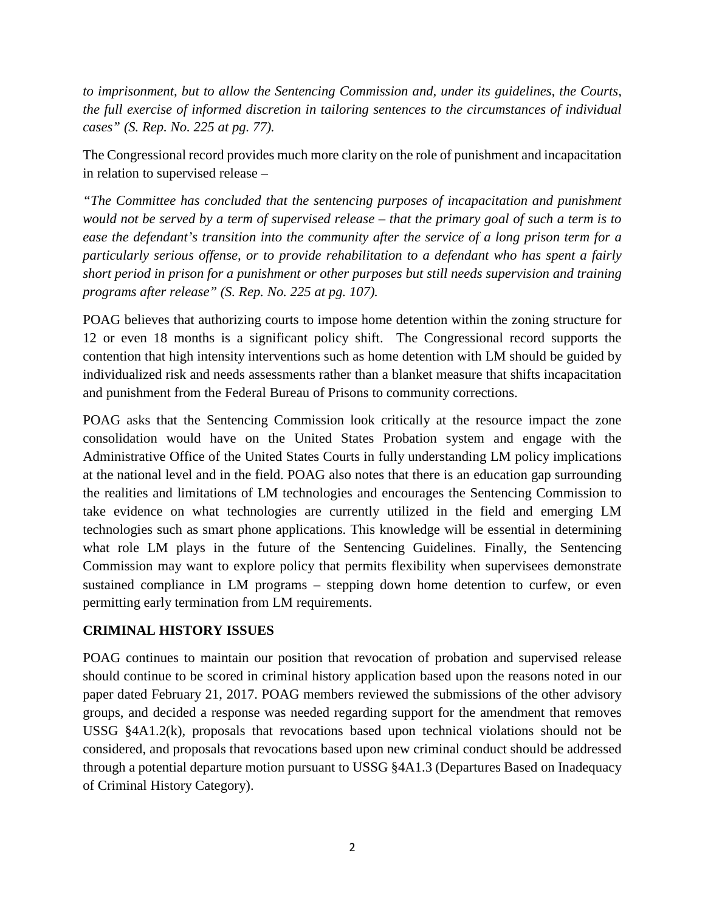*to imprisonment, but to allow the Sentencing Commission and, under its guidelines, the Courts, the full exercise of informed discretion in tailoring sentences to the circumstances of individual cases" (S. Rep. No. 225 at pg. 77).* 

The Congressional record provides much more clarity on the role of punishment and incapacitation in relation to supervised release –

*"The Committee has concluded that the sentencing purposes of incapacitation and punishment would not be served by a term of supervised release – that the primary goal of such a term is to ease the defendant's transition into the community after the service of a long prison term for a particularly serious offense, or to provide rehabilitation to a defendant who has spent a fairly short period in prison for a punishment or other purposes but still needs supervision and training programs after release" (S. Rep. No. 225 at pg. 107).*

POAG believes that authorizing courts to impose home detention within the zoning structure for 12 or even 18 months is a significant policy shift. The Congressional record supports the contention that high intensity interventions such as home detention with LM should be guided by individualized risk and needs assessments rather than a blanket measure that shifts incapacitation and punishment from the Federal Bureau of Prisons to community corrections.

POAG asks that the Sentencing Commission look critically at the resource impact the zone consolidation would have on the United States Probation system and engage with the Administrative Office of the United States Courts in fully understanding LM policy implications at the national level and in the field. POAG also notes that there is an education gap surrounding the realities and limitations of LM technologies and encourages the Sentencing Commission to take evidence on what technologies are currently utilized in the field and emerging LM technologies such as smart phone applications. This knowledge will be essential in determining what role LM plays in the future of the Sentencing Guidelines. Finally, the Sentencing Commission may want to explore policy that permits flexibility when supervisees demonstrate sustained compliance in LM programs – stepping down home detention to curfew, or even permitting early termination from LM requirements.

## **CRIMINAL HISTORY ISSUES**

POAG continues to maintain our position that revocation of probation and supervised release should continue to be scored in criminal history application based upon the reasons noted in our paper dated February 21, 2017. POAG members reviewed the submissions of the other advisory groups, and decided a response was needed regarding support for the amendment that removes USSG §4A1.2(k), proposals that revocations based upon technical violations should not be considered, and proposals that revocations based upon new criminal conduct should be addressed through a potential departure motion pursuant to USSG §4A1.3 (Departures Based on Inadequacy of Criminal History Category).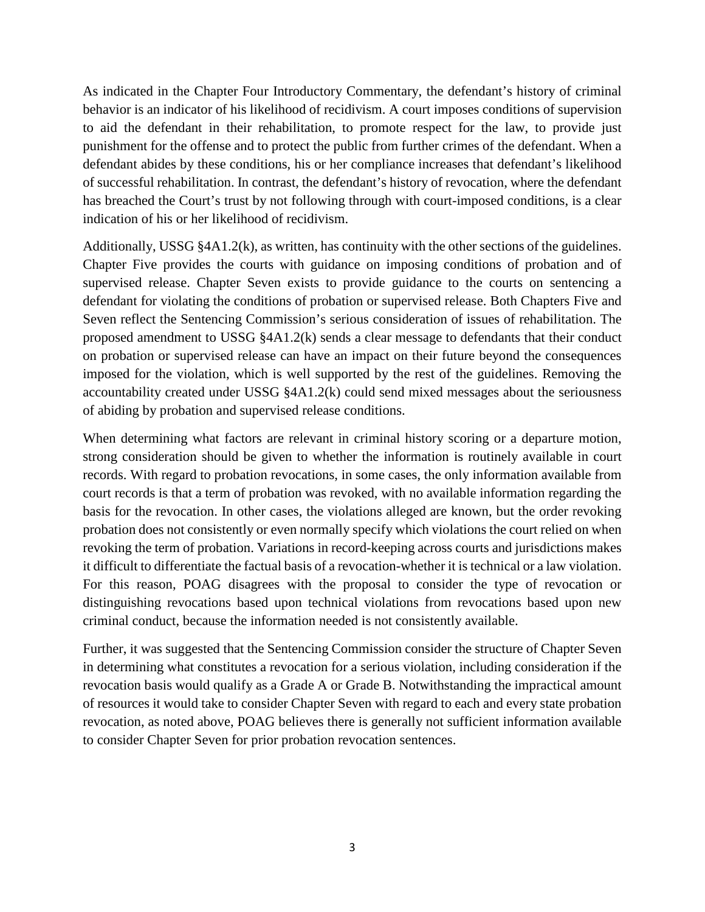As indicated in the Chapter Four Introductory Commentary, the defendant's history of criminal behavior is an indicator of his likelihood of recidivism. A court imposes conditions of supervision to aid the defendant in their rehabilitation, to promote respect for the law, to provide just punishment for the offense and to protect the public from further crimes of the defendant. When a defendant abides by these conditions, his or her compliance increases that defendant's likelihood of successful rehabilitation. In contrast, the defendant's history of revocation, where the defendant has breached the Court's trust by not following through with court-imposed conditions, is a clear indication of his or her likelihood of recidivism.

Additionally, USSG §4A1.2(k), as written, has continuity with the other sections of the guidelines. Chapter Five provides the courts with guidance on imposing conditions of probation and of supervised release. Chapter Seven exists to provide guidance to the courts on sentencing a defendant for violating the conditions of probation or supervised release. Both Chapters Five and Seven reflect the Sentencing Commission's serious consideration of issues of rehabilitation. The proposed amendment to USSG §4A1.2(k) sends a clear message to defendants that their conduct on probation or supervised release can have an impact on their future beyond the consequences imposed for the violation, which is well supported by the rest of the guidelines. Removing the accountability created under USSG §4A1.2(k) could send mixed messages about the seriousness of abiding by probation and supervised release conditions.

When determining what factors are relevant in criminal history scoring or a departure motion, strong consideration should be given to whether the information is routinely available in court records. With regard to probation revocations, in some cases, the only information available from court records is that a term of probation was revoked, with no available information regarding the basis for the revocation. In other cases, the violations alleged are known, but the order revoking probation does not consistently or even normally specify which violations the court relied on when revoking the term of probation. Variations in record-keeping across courts and jurisdictions makes it difficult to differentiate the factual basis of a revocation-whether it is technical or a law violation. For this reason, POAG disagrees with the proposal to consider the type of revocation or distinguishing revocations based upon technical violations from revocations based upon new criminal conduct, because the information needed is not consistently available.

Further, it was suggested that the Sentencing Commission consider the structure of Chapter Seven in determining what constitutes a revocation for a serious violation, including consideration if the revocation basis would qualify as a Grade A or Grade B. Notwithstanding the impractical amount of resources it would take to consider Chapter Seven with regard to each and every state probation revocation, as noted above, POAG believes there is generally not sufficient information available to consider Chapter Seven for prior probation revocation sentences.